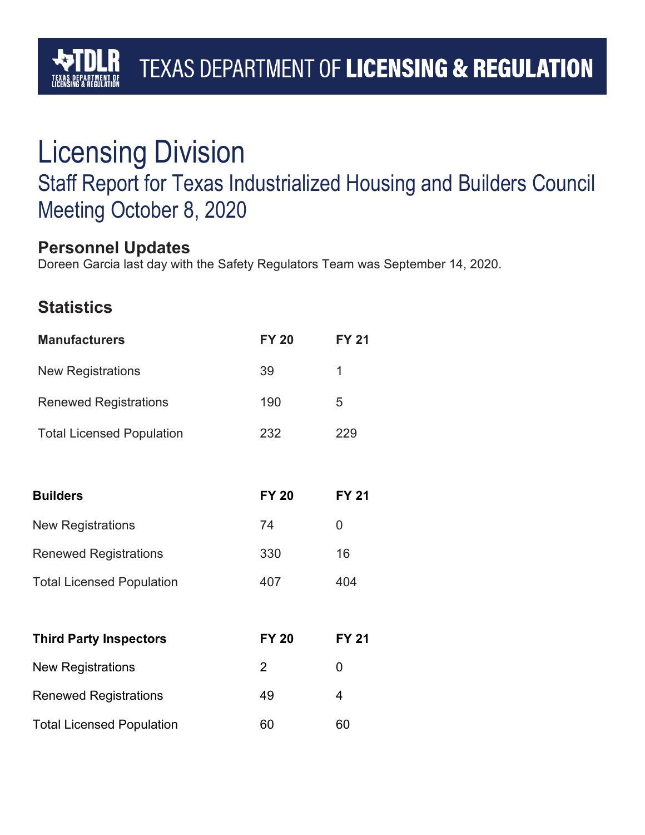# TEXAS DEPARTMENT OF LICENSING & REGULATION

# Licensing Division

# Staff Report for Texas Industrialized Housing and Builders Council Meeting October 8, 2020

## **Personnel Updates**

Doreen Garcia last day with the Safety Regulators Team was September 14, 2020.

## **Statistics**

| <b>Manufacturers</b>             | <b>FY 20</b>   | <b>FY 21</b> |
|----------------------------------|----------------|--------------|
| <b>New Registrations</b>         | 39             | 1            |
| <b>Renewed Registrations</b>     | 190            | 5            |
| <b>Total Licensed Population</b> | 232            | 229          |
|                                  |                |              |
| <b>Builders</b>                  | <b>FY 20</b>   | <b>FY 21</b> |
| <b>New Registrations</b>         | 74             | 0            |
| <b>Renewed Registrations</b>     | 330            | 16           |
| <b>Total Licensed Population</b> | 407            | 404          |
|                                  |                |              |
| <b>Third Party Inspectors</b>    | <b>FY 20</b>   | <b>FY 21</b> |
| <b>New Registrations</b>         | $\overline{2}$ | 0            |
| <b>Renewed Registrations</b>     | 49             | 4            |
| <b>Total Licensed Population</b> | 60             | 60           |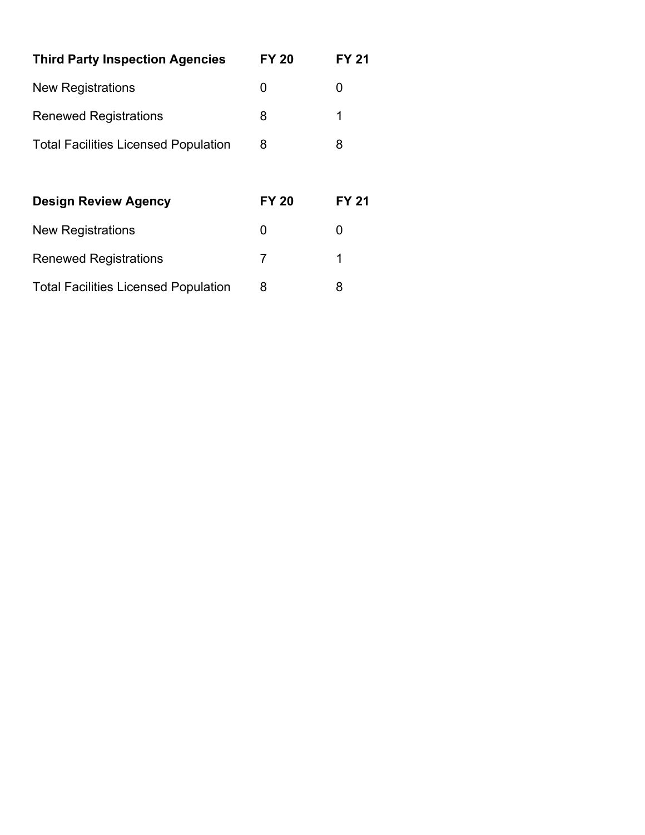| <b>Third Party Inspection Agencies</b>      | <b>FY 20</b> | FY 21        |
|---------------------------------------------|--------------|--------------|
| <b>New Registrations</b>                    | O            | 0            |
| <b>Renewed Registrations</b>                | 8            | 1            |
| <b>Total Facilities Licensed Population</b> | 8            | 8            |
|                                             |              |              |
| <b>Design Review Agency</b>                 | <b>FY 20</b> | <b>FY 21</b> |
| <b>New Registrations</b>                    | O            | 0            |
| <b>Renewed Registrations</b>                | 7            | 1            |
| <b>Total Facilities Licensed Population</b> | 8            | 8            |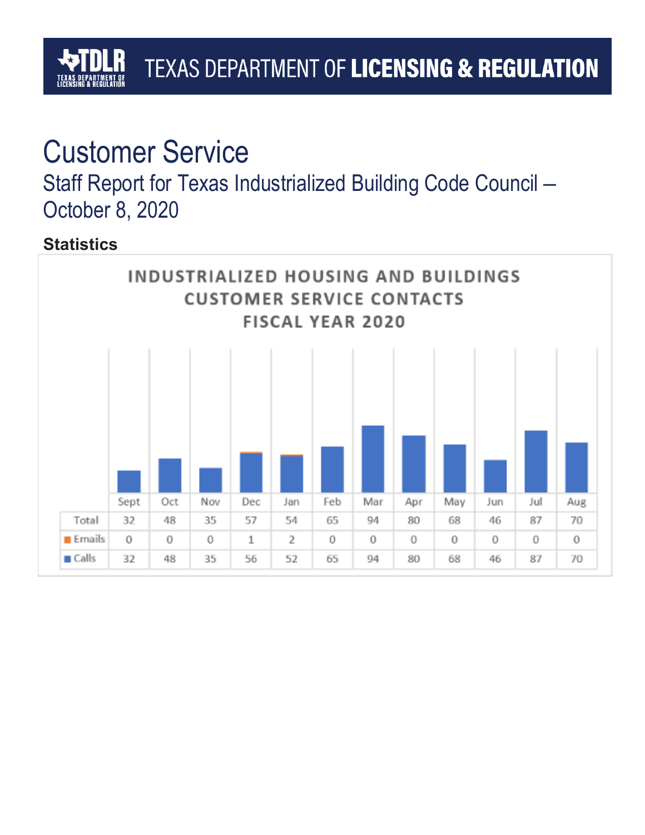# TEXAS DEPARTMENT OF LICENSING & REGULATION

# Customer Service

Staff Report for Texas Industrialized Building Code Council – October 8, 2020

# **Statistics**

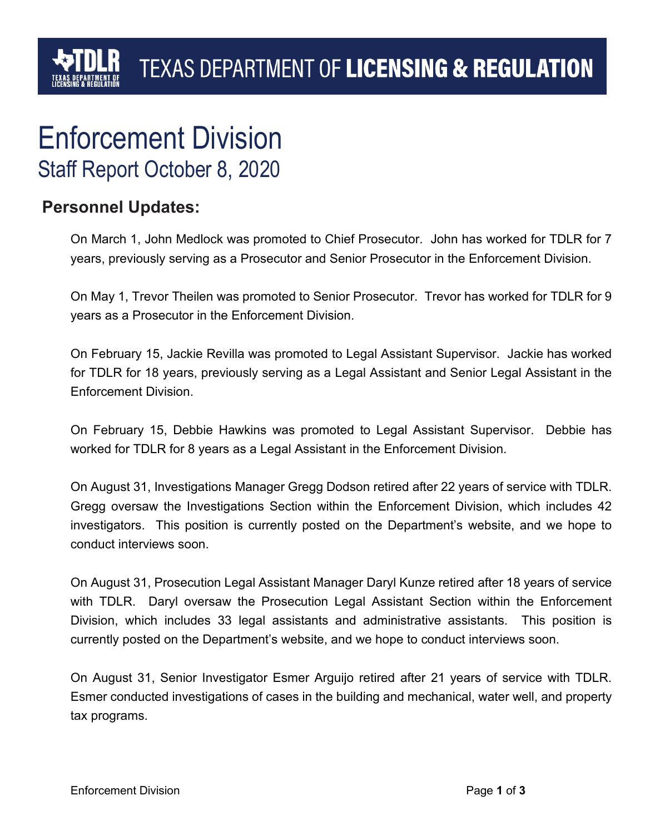# Enforcement Division Staff Report October 8, 2020

### **Personnel Updates:**

On March 1, John Medlock was promoted to Chief Prosecutor. John has worked for TDLR for 7 years, previously serving as a Prosecutor and Senior Prosecutor in the Enforcement Division.

On May 1, Trevor Theilen was promoted to Senior Prosecutor. Trevor has worked for TDLR for 9 years as a Prosecutor in the Enforcement Division.

On February 15, Jackie Revilla was promoted to Legal Assistant Supervisor. Jackie has worked for TDLR for 18 years, previously serving as a Legal Assistant and Senior Legal Assistant in the Enforcement Division.

On February 15, Debbie Hawkins was promoted to Legal Assistant Supervisor. Debbie has worked for TDLR for 8 years as a Legal Assistant in the Enforcement Division.

On August 31, Investigations Manager Gregg Dodson retired after 22 years of service with TDLR. Gregg oversaw the Investigations Section within the Enforcement Division, which includes 42 investigators. This position is currently posted on the Department's website, and we hope to conduct interviews soon.

On August 31, Prosecution Legal Assistant Manager Daryl Kunze retired after 18 years of service with TDLR. Daryl oversaw the Prosecution Legal Assistant Section within the Enforcement Division, which includes 33 legal assistants and administrative assistants. This position is currently posted on the Department's website, and we hope to conduct interviews soon.

On August 31, Senior Investigator Esmer Arguijo retired after 21 years of service with TDLR. Esmer conducted investigations of cases in the building and mechanical, water well, and property tax programs.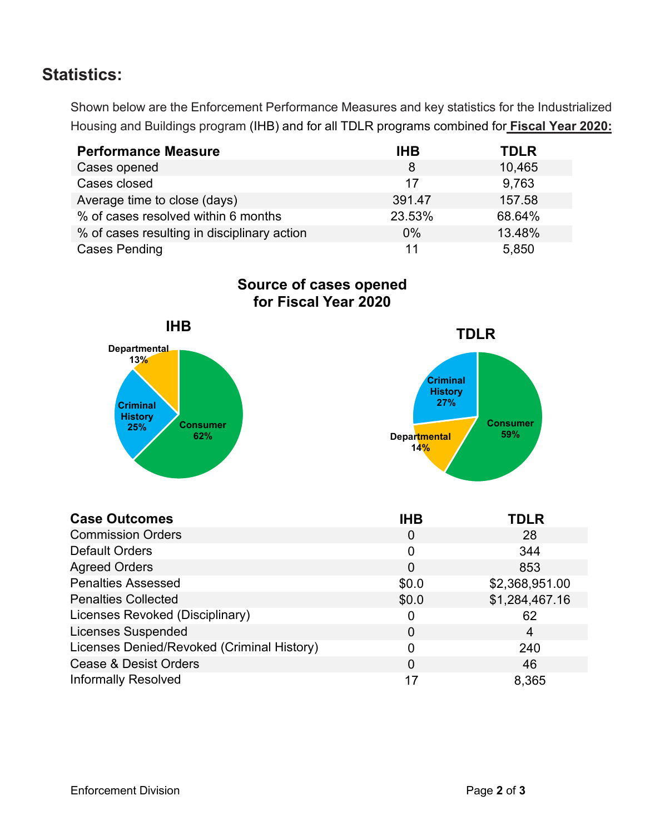## **Statistics:**

Shown below are the Enforcement Performance Measures and key statistics for the Industrialized Housing and Buildings program (IHB) and for all TDLR programs combined for **Fiscal Year 2020:**

| <b>Performance Measure</b>                  | <b>IHB</b> | <b>TDLR</b> |
|---------------------------------------------|------------|-------------|
| Cases opened                                | 8          | 10,465      |
| Cases closed                                | 17         | 9,763       |
| Average time to close (days)                | 391.47     | 157.58      |
| % of cases resolved within 6 months         | 23.53%     | 68.64%      |
| % of cases resulting in disciplinary action | $0\%$      | 13.48%      |
| <b>Cases Pending</b>                        | 11         | 5,850       |

**Source of cases opened for Fiscal Year 2020**



| <b>Case Outcomes</b>                       | <b>IHB</b> | <b>TDLR</b>    |
|--------------------------------------------|------------|----------------|
| <b>Commission Orders</b>                   | 0          | 28             |
| <b>Default Orders</b>                      | 0          | 344            |
| <b>Agreed Orders</b>                       | 0          | 853            |
| <b>Penalties Assessed</b>                  | \$0.0      | \$2,368,951.00 |
| <b>Penalties Collected</b>                 | \$0.0      | \$1,284,467.16 |
| Licenses Revoked (Disciplinary)            | 0          | 62             |
| <b>Licenses Suspended</b>                  | 0          | 4              |
| Licenses Denied/Revoked (Criminal History) | 0          | 240            |
| <b>Cease &amp; Desist Orders</b>           | 0          | 46             |
| <b>Informally Resolved</b>                 | 17         | 8,365          |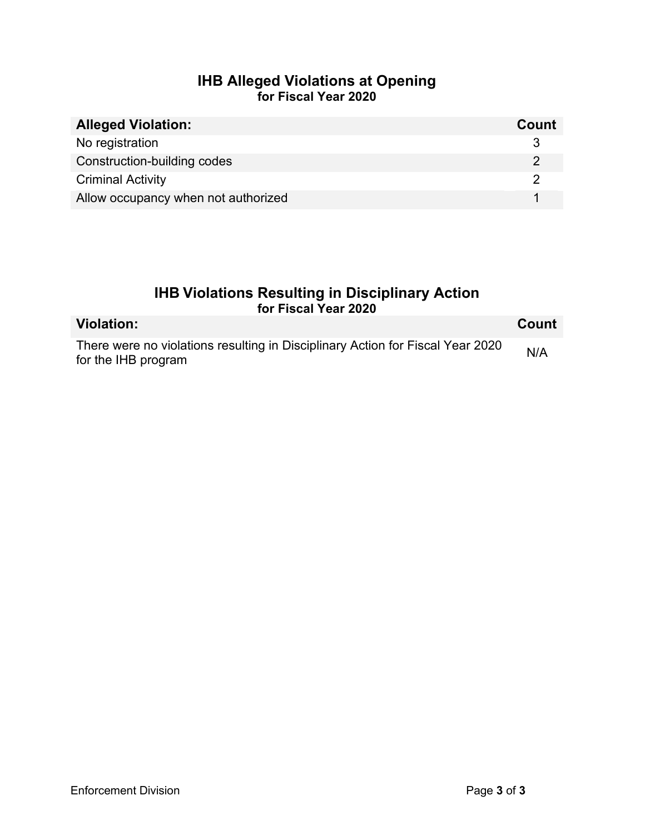### **IHB Alleged Violations at Opening for Fiscal Year 2020**

| <b>Alleged Violation:</b>           | Count |
|-------------------------------------|-------|
| No registration                     |       |
| Construction-building codes         |       |
| <b>Criminal Activity</b>            |       |
| Allow occupancy when not authorized |       |

### **IHB Violations Resulting in Disciplinary Action for Fiscal Year 2020**

| <b>Violation:</b>                                                                                     | <b>Count</b> |
|-------------------------------------------------------------------------------------------------------|--------------|
| There were no violations resulting in Disciplinary Action for Fiscal Year 2020<br>for the IHB program | N/A          |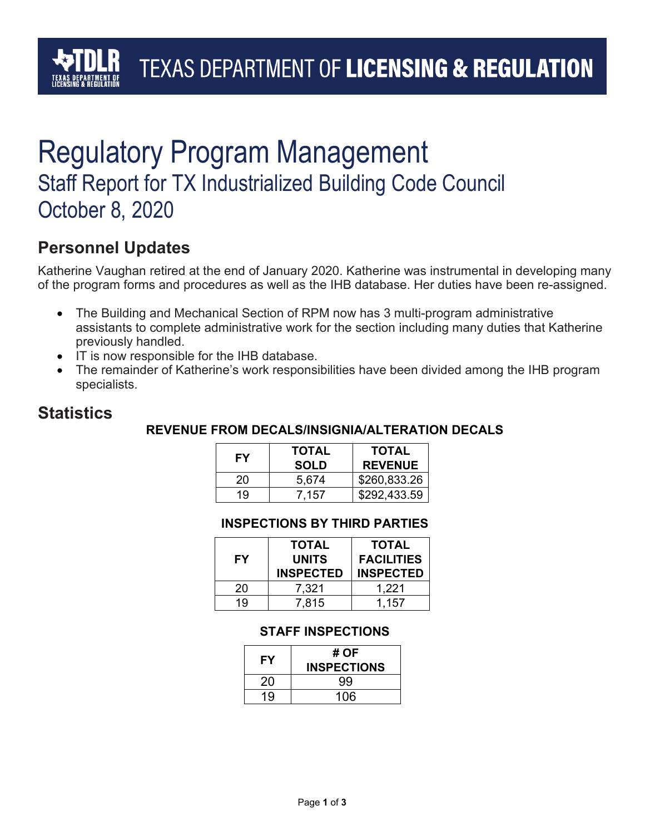# Regulatory Program Management Staff Report for TX Industrialized Building Code Council October 8, 2020

## **Personnel Updates**

Katherine Vaughan retired at the end of January 2020. Katherine was instrumental in developing many of the program forms and procedures as well as the IHB database. Her duties have been re-assigned.

- The Building and Mechanical Section of RPM now has 3 multi-program administrative assistants to complete administrative work for the section including many duties that Katherine previously handled.
- IT is now responsible for the IHB database.
- The remainder of Katherine's work responsibilities have been divided among the IHB program specialists.

### **Statistics**

### **REVENUE FROM DECALS/INSIGNIA/ALTERATION DECALS**

| FΥ | <b>TOTAL</b><br><b>SOLD</b> | <b>TOTAL</b><br><b>REVENUE</b> |
|----|-----------------------------|--------------------------------|
| 20 | 5,674                       | \$260,833.26                   |
| 19 | 7.157                       | \$292,433.59                   |

#### **INSPECTIONS BY THIRD PARTIES**

| <b>FY</b> | <b>TOTAL</b><br><b>UNITS</b><br><b>INSPECTED</b> | <b>TOTAL</b><br><b>FACILITIES</b><br><b>INSPECTED</b> |
|-----------|--------------------------------------------------|-------------------------------------------------------|
| 20        | 7,321                                            | 1,221                                                 |
| 19        | 7.815                                            | 1.157                                                 |

### **STAFF INSPECTIONS**

| FY | # OF<br><b>INSPECTIONS</b> |
|----|----------------------------|
| 20 | 99                         |
| 19 | 106                        |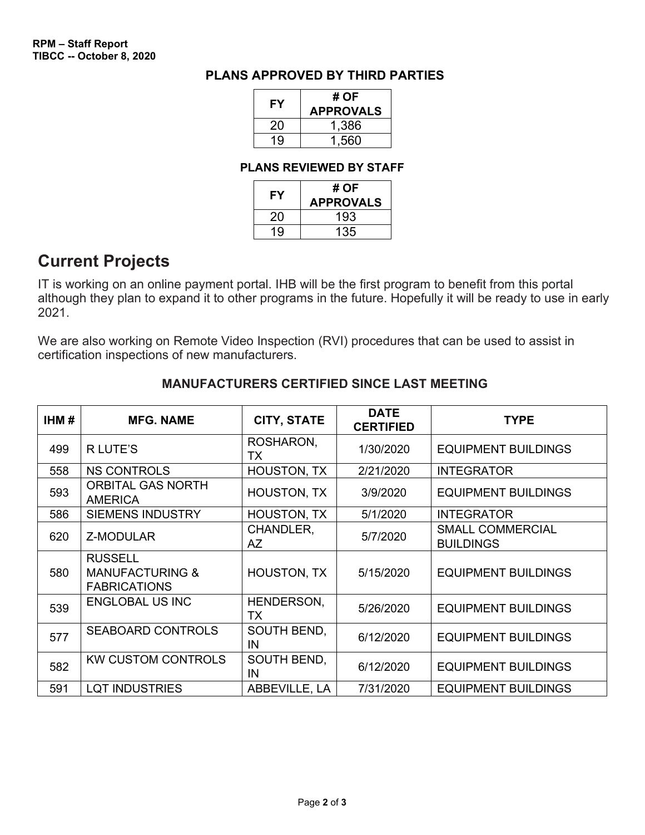#### **PLANS APPROVED BY THIRD PARTIES**

| FΥ | # OF<br><b>APPROVALS</b> |  |
|----|--------------------------|--|
| 20 | 1,386                    |  |
| 19 | 1,560                    |  |

#### **PLANS REVIEWED BY STAFF**

| FY | # OF<br><b>APPROVALS</b> |  |
|----|--------------------------|--|
| 20 | 193                      |  |
| 19 | 135                      |  |

### **Current Projects**

IT is working on an online payment portal. IHB will be the first program to benefit from this portal although they plan to expand it to other programs in the future. Hopefully it will be ready to use in early 2021.

We are also working on Remote Video Inspection (RVI) procedures that can be used to assist in certification inspections of new manufacturers.

| IHM# | <b>MFG. NAME</b>                                                    | <b>CITY, STATE</b>       | <b>DATE</b><br><b>CERTIFIED</b> | <b>TYPE</b>                                 |
|------|---------------------------------------------------------------------|--------------------------|---------------------------------|---------------------------------------------|
| 499  | R LUTE'S                                                            | ROSHARON,<br>ТX          | 1/30/2020                       | <b>EQUIPMENT BUILDINGS</b>                  |
| 558  | <b>NS CONTROLS</b>                                                  | HOUSTON, TX              | 2/21/2020                       | <b>INTEGRATOR</b>                           |
| 593  | <b>ORBITAL GAS NORTH</b><br><b>AMERICA</b>                          | <b>HOUSTON, TX</b>       | 3/9/2020                        | <b>EQUIPMENT BUILDINGS</b>                  |
| 586  | <b>SIEMENS INDUSTRY</b>                                             | <b>HOUSTON, TX</b>       | 5/1/2020                        | <b>INTEGRATOR</b>                           |
| 620  | Z-MODULAR                                                           | CHANDLER,<br><b>AZ</b>   | 5/7/2020                        | <b>SMALL COMMERCIAL</b><br><b>BUILDINGS</b> |
| 580  | <b>RUSSELL</b><br><b>MANUFACTURING &amp;</b><br><b>FABRICATIONS</b> | <b>HOUSTON, TX</b>       | 5/15/2020                       | <b>EQUIPMENT BUILDINGS</b>                  |
| 539  | <b>ENGLOBAL US INC</b>                                              | HENDERSON,<br>TX         | 5/26/2020                       | <b>EQUIPMENT BUILDINGS</b>                  |
| 577  | <b>SEABOARD CONTROLS</b>                                            | <b>SOUTH BEND,</b><br>IN | 6/12/2020                       | <b>EQUIPMENT BUILDINGS</b>                  |
| 582  | <b>KW CUSTOM CONTROLS</b>                                           | SOUTH BEND,<br>IN        | 6/12/2020                       | <b>EQUIPMENT BUILDINGS</b>                  |
| 591  | <b>LQT INDUSTRIES</b>                                               | ABBEVILLE, LA            | 7/31/2020                       | <b>EQUIPMENT BUILDINGS</b>                  |

#### **MANUFACTURERS CERTIFIED SINCE LAST MEETING**